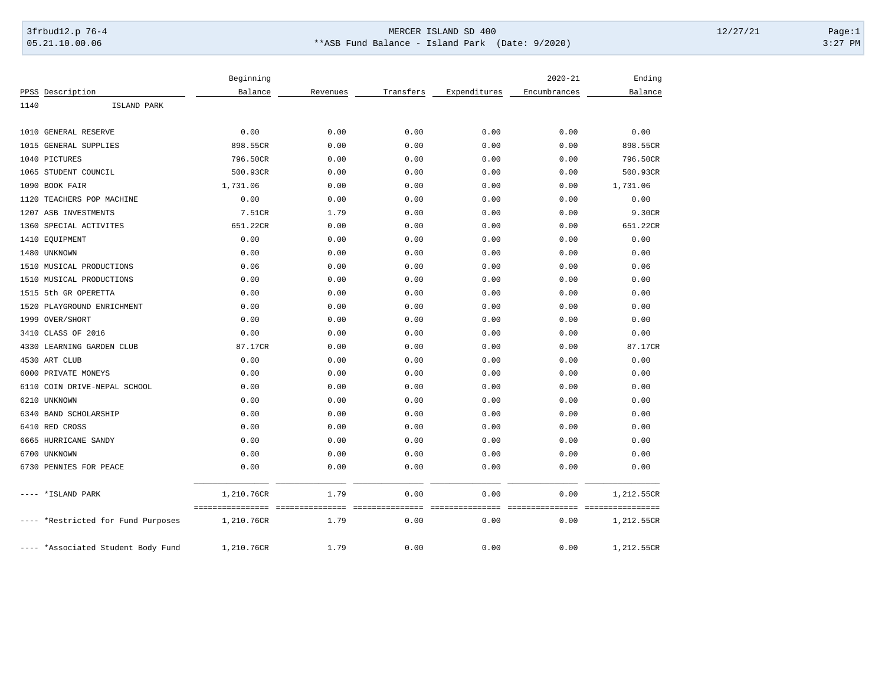## 3frbud12.p 76-4 Page:1 05.21.10.00.06 \*\*ASB Fund Balance - Island Park (Date: 9/2020) 3:27 PM

|                                 | Beginning                      |                         |                         |                     | $2020 - 21$             | Ending                         |
|---------------------------------|--------------------------------|-------------------------|-------------------------|---------------------|-------------------------|--------------------------------|
| PPSS Description                | Balance                        | Revenues                | Transfers               | Expenditures        | Encumbrances            | Balance                        |
| 1140<br>ISLAND PARK             |                                |                         |                         |                     |                         |                                |
| 1010 GENERAL RESERVE            | 0.00                           | 0.00                    | 0.00                    | 0.00                | 0.00                    | 0.00                           |
| 1015<br>GENERAL SUPPLIES        | 898.55CR                       | 0.00                    | 0.00                    | 0.00                | 0.00                    | 898.55CR                       |
| 1040<br>PICTURES                | 796.50CR                       | 0.00                    | 0.00                    | 0.00                | 0.00                    | 796.50CR                       |
| STUDENT COUNCIL<br>1065         | 500.93CR                       | 0.00                    | 0.00                    | 0.00                | 0.00                    | 500.93CR                       |
| 1090<br>BOOK FAIR               | 1,731.06                       | 0.00                    | 0.00                    | 0.00                | 0.00                    | 1,731.06                       |
| 1120<br>TEACHERS POP MACHINE    | 0.00                           | 0.00                    | 0.00                    | 0.00                | 0.00                    | 0.00                           |
| 1207<br>ASB INVESTMENTS         | 7.51CR                         | 1.79                    | 0.00                    | 0.00                | 0.00                    | 9.30CR                         |
| SPECIAL ACTIVITES<br>1360       | 651.22CR                       | 0.00                    | 0.00                    | 0.00                | 0.00                    | 651.22CR                       |
| EQUIPMENT<br>1410               | 0.00                           | 0.00                    | 0.00                    | 0.00                | 0.00                    | 0.00                           |
| UNKNOWN<br>1480                 | 0.00                           | 0.00                    | 0.00                    | 0.00                | 0.00                    | 0.00                           |
| 1510 MUSICAL PRODUCTIONS        | 0.06                           | 0.00                    | 0.00                    | 0.00                | 0.00                    | 0.06                           |
| MUSICAL PRODUCTIONS<br>1510     | 0.00                           | 0.00                    | 0.00                    | 0.00                | 0.00                    | 0.00                           |
| 5th GR OPERETTA<br>1515         | 0.00                           | 0.00                    | 0.00                    | 0.00                | 0.00                    | 0.00                           |
| 1520<br>PLAYGROUND ENRICHMENT   | 0.00                           | 0.00                    | 0.00                    | 0.00                | 0.00                    | 0.00                           |
| 1999<br>OVER/SHORT              | 0.00                           | 0.00                    | 0.00                    | 0.00                | 0.00                    | 0.00                           |
| CLASS OF 2016<br>3410           | 0.00                           | 0.00                    | 0.00                    | 0.00                | 0.00                    | 0.00                           |
| LEARNING GARDEN CLUB<br>4330    | 87.17CR                        | 0.00                    | 0.00                    | 0.00                | 0.00                    | 87.17CR                        |
| 4530<br>ART CLUB                | 0.00                           | 0.00                    | 0.00                    | 0.00                | 0.00                    | 0.00                           |
| PRIVATE MONEYS<br>6000          | 0.00                           | 0.00                    | 0.00                    | 0.00                | 0.00                    | 0.00                           |
| 6110<br>COIN DRIVE-NEPAL SCHOOL | 0.00                           | 0.00                    | 0.00                    | 0.00                | 0.00                    | 0.00                           |
| 6210<br>UNKNOWN                 | 0.00                           | 0.00                    | 0.00                    | 0.00                | 0.00                    | 0.00                           |
| 6340 BAND SCHOLARSHIP           | 0.00                           | 0.00                    | 0.00                    | 0.00                | 0.00                    | 0.00                           |
| 6410 RED CROSS                  | 0.00                           | 0.00                    | 0.00                    | 0.00                | 0.00                    | 0.00                           |
| 6665 HURRICANE SANDY            | 0.00                           | 0.00                    | 0.00                    | 0.00                | 0.00                    | 0.00                           |
| 6700 UNKNOWN                    | 0.00                           | 0.00                    | 0.00                    | 0.00                | 0.00                    | 0.00                           |
| 6730<br>PENNIES FOR PEACE       | 0.00                           | 0.00                    | 0.00                    | 0.00                | 0.00                    | 0.00                           |
| *ISLAND PARK                    | 1,210.76CR                     | 1.79                    | 0.00                    | 0.00                | 0.00                    | 1,212.55CR                     |
| *Restricted for Fund Purposes   | ================<br>1,210.76CR | ===============<br>1.79 | ===============<br>0.00 | ===========<br>0.00 | ===============<br>0.00 | ================<br>1,212.55CR |
| *Associated Student Body Fund   | 1,210.76CR                     | 1.79                    | 0.00                    | 0.00                | 0.00                    | 1,212.55CR                     |